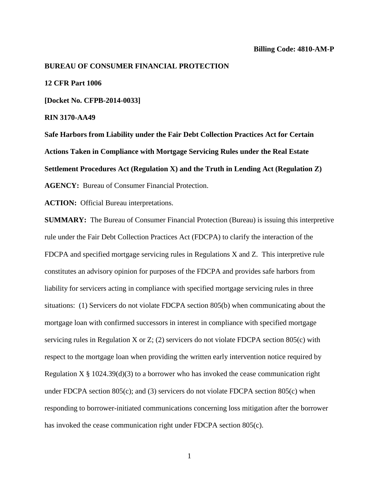#### **BUREAU OF CONSUMER FINANCIAL PROTECTION**

## **12 CFR Part 1006**

**[Docket No. CFPB-2014-0033]**

#### **RIN 3170-AA49**

**Safe Harbors from Liability under the Fair Debt Collection Practices Act for Certain Actions Taken in Compliance with Mortgage Servicing Rules under the Real Estate Settlement Procedures Act (Regulation X) and the Truth in Lending Act (Regulation Z) AGENCY:** Bureau of Consumer Financial Protection.

**ACTION:** Official Bureau interpretations.

**SUMMARY:** The Bureau of Consumer Financial Protection (Bureau) is issuing this interpretive rule under the Fair Debt Collection Practices Act (FDCPA) to clarify the interaction of the FDCPA and specified mortgage servicing rules in Regulations X and Z. This interpretive rule constitutes an advisory opinion for purposes of the FDCPA and provides safe harbors from liability for servicers acting in compliance with specified mortgage servicing rules in three situations: (1) Servicers do not violate FDCPA section 805(b) when communicating about the mortgage loan with confirmed successors in interest in compliance with specified mortgage servicing rules in Regulation X or Z; (2) servicers do not violate FDCPA section 805(c) with respect to the mortgage loan when providing the written early intervention notice required by Regulation  $X \S 1024.39(d)(3)$  to a borrower who has invoked the cease communication right under FDCPA section 805(c); and (3) servicers do not violate FDCPA section 805(c) when responding to borrower-initiated communications concerning loss mitigation after the borrower has invoked the cease communication right under FDCPA section 805(c).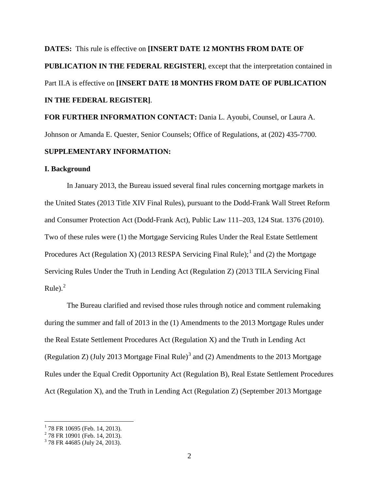# **DATES:** This rule is effective on **[INSERT DATE 12 MONTHS FROM DATE OF PUBLICATION IN THE FEDERAL REGISTER]**, except that the interpretation contained in Part II.A is effective on **[INSERT DATE 18 MONTHS FROM DATE OF PUBLICATION IN THE FEDERAL REGISTER]**.

**FOR FURTHER INFORMATION CONTACT:** Dania L. Ayoubi, Counsel, or Laura A. Johnson or Amanda E. Quester, Senior Counsels; Office of Regulations, at (202) 435-7700.

# **SUPPLEMENTARY INFORMATION:**

## **I. Background**

In January 2013, the Bureau issued several final rules concerning mortgage markets in the United States (2013 Title XIV Final Rules), pursuant to the Dodd-Frank Wall Street Reform and Consumer Protection Act (Dodd-Frank Act), Public Law 111–203, 124 Stat. 1376 (2010). Two of these rules were (1) the Mortgage Servicing Rules Under the Real Estate Settlement Procedures Act (Regulation X) (20[1](#page-1-0)3 RESPA Servicing Final Rule);<sup>1</sup> and (2) the Mortgage Servicing Rules Under the Truth in Lending Act (Regulation Z) (2013 TILA Servicing Final Rule). $^{2}$  $^{2}$  $^{2}$ 

The Bureau clarified and revised those rules through notice and comment rulemaking during the summer and fall of 2013 in the (1) Amendments to the 2013 Mortgage Rules under the Real Estate Settlement Procedures Act (Regulation X) and the Truth in Lending Act (Regulation Z) (July 201[3](#page-1-2) Mortgage Final Rule)<sup>3</sup> and (2) Amendments to the 2013 Mortgage Rules under the Equal Credit Opportunity Act (Regulation B), Real Estate Settlement Procedures Act (Regulation X), and the Truth in Lending Act (Regulation Z) (September 2013 Mortgage

<span id="page-1-0"></span><sup>&</sup>lt;sup>1</sup> 78 FR 10695 (Feb. 14, 2013).<br><sup>2</sup> 78 FR 10901 (Feb. 14, 2013).<br><sup>3</sup> 78 FR 44685 (July 24, 2013).

<span id="page-1-1"></span>

<span id="page-1-2"></span>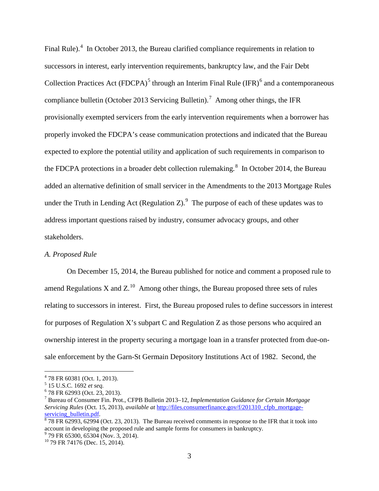Final Rule). $4$  In October 2013, the Bureau clarified compliance requirements in relation to successors in interest, early intervention requirements, bankruptcy law, and the Fair Debt Collection Practices Act (FDCPA)<sup>[5](#page-2-1)</sup> through an Interim Final Rule (IFR)<sup>[6](#page-2-2)</sup> and a contemporaneous compliance bulletin (October 2013 Servicing Bulletin).<sup>[7](#page-2-3)</sup> Among other things, the IFR provisionally exempted servicers from the early intervention requirements when a borrower has properly invoked the FDCPA's cease communication protections and indicated that the Bureau expected to explore the potential utility and application of such requirements in comparison to the FDCPA protections in a broader debt collection rulemaking.<sup>[8](#page-2-4)</sup> In October 2014, the Bureau added an alternative definition of small servicer in the Amendments to the 2013 Mortgage Rules under the Truth in Lending Act (Regulation Z). $9$  The purpose of each of these updates was to address important questions raised by industry, consumer advocacy groups, and other stakeholders.

# *A. Proposed Rule*

On December 15, 2014, the Bureau published for notice and comment a proposed rule to amend Regulations X and  $Z<sup>10</sup>$  $Z<sup>10</sup>$  $Z<sup>10</sup>$  Among other things, the Bureau proposed three sets of rules relating to successors in interest. First, the Bureau proposed rules to define successors in interest for purposes of Regulation X's subpart C and Regulation Z as those persons who acquired an ownership interest in the property securing a mortgage loan in a transfer protected from due-onsale enforcement by the Garn-St Germain Depository Institutions Act of 1982. Second, the

<span id="page-2-3"></span><span id="page-2-2"></span>

<span id="page-2-1"></span><span id="page-2-0"></span><sup>&</sup>lt;sup>4</sup> 78 FR 60381 (Oct. 1, 2013).<br>
<sup>5</sup> 15 U.S.C. 1692 *et seq.*<br>
<sup>6</sup> 78 FR 62993 (Oct. 23, 2013).<br>
<sup>7</sup> Bureau of Consumer Fin. Prot., CFPB Bulletin 2013–12, *Implementation Guidance for Certain Mortgage Servicing Rules* (Oct. 15, 2013), *available at* [http://files.consumerfinance.gov/f/201310\\_cfpb\\_mortgage](http://files.consumerfinance.gov/f/201310_cfpb_mortgage-servicing_bulletin.pdf)servicing bulletin.pdf. 8 8 13 and 13 Fe in the Bureau received comments in response to the IFR that it took into service into the IFR that it took into service in the IFR that it took into

<span id="page-2-4"></span>account in developing the proposed rule and sample forms for consumers in bankruptcy.<br><sup>9</sup> 79 FR 65300, 65304 (Nov. 3, 2014).<br><sup>10</sup> 79 FR 74176 (Dec. 15, 2014).

<span id="page-2-6"></span><span id="page-2-5"></span>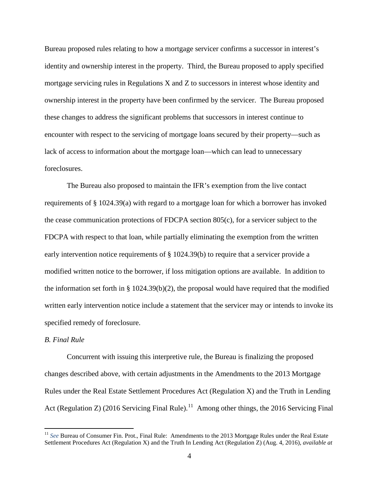Bureau proposed rules relating to how a mortgage servicer confirms a successor in interest's identity and ownership interest in the property. Third, the Bureau proposed to apply specified mortgage servicing rules in Regulations X and Z to successors in interest whose identity and ownership interest in the property have been confirmed by the servicer. The Bureau proposed these changes to address the significant problems that successors in interest continue to encounter with respect to the servicing of mortgage loans secured by their property—such as lack of access to information about the mortgage loan—which can lead to unnecessary foreclosures.

The Bureau also proposed to maintain the IFR's exemption from the live contact requirements of § 1024.39(a) with regard to a mortgage loan for which a borrower has invoked the cease communication protections of FDCPA section 805(c), for a servicer subject to the FDCPA with respect to that loan, while partially eliminating the exemption from the written early intervention notice requirements of § 1024.39(b) to require that a servicer provide a modified written notice to the borrower, if loss mitigation options are available. In addition to the information set forth in  $\S 1024.39(b)(2)$ , the proposal would have required that the modified written early intervention notice include a statement that the servicer may or intends to invoke its specified remedy of foreclosure.

## *B. Final Rule*

Concurrent with issuing this interpretive rule, the Bureau is finalizing the proposed changes described above, with certain adjustments in the Amendments to the 2013 Mortgage Rules under the Real Estate Settlement Procedures Act (Regulation X) and the Truth in Lending Act (Regulation Z) (2016 Servicing Final Rule).<sup>[11](#page-3-0)</sup> Among other things, the 2016 Servicing Final

<span id="page-3-0"></span><sup>&</sup>lt;sup>11</sup> *See* Bureau of Consumer Fin. Prot., Final Rule: Amendments to the 2013 Mortgage Rules under the Real Estate Settlement Procedures Act (Regulation X) and the Truth In Lending Act (Regulation Z) (Aug. 4, 2016), *available at*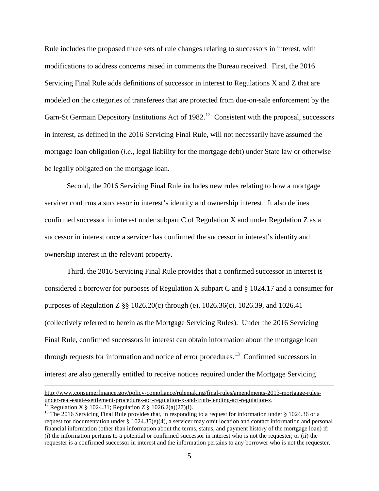Rule includes the proposed three sets of rule changes relating to successors in interest, with modifications to address concerns raised in comments the Bureau received. First, the 2016 Servicing Final Rule adds definitions of successor in interest to Regulations X and Z that are modeled on the categories of transferees that are protected from due-on-sale enforcement by the Garn-St Germain Depository Institutions Act of  $1982<sup>12</sup>$  $1982<sup>12</sup>$  $1982<sup>12</sup>$  Consistent with the proposal, successors in interest, as defined in the 2016 Servicing Final Rule, will not necessarily have assumed the mortgage loan obligation (*i.e.*, legal liability for the mortgage debt) under State law or otherwise be legally obligated on the mortgage loan.

Second, the 2016 Servicing Final Rule includes new rules relating to how a mortgage servicer confirms a successor in interest's identity and ownership interest. It also defines confirmed successor in interest under subpart C of Regulation X and under Regulation Z as a successor in interest once a servicer has confirmed the successor in interest's identity and ownership interest in the relevant property.

Third, the 2016 Servicing Final Rule provides that a confirmed successor in interest is considered a borrower for purposes of Regulation X subpart C and § 1024.17 and a consumer for purposes of Regulation Z §§ 1026.20(c) through (e), 1026.36(c), 1026.39, and 1026.41 (collectively referred to herein as the Mortgage Servicing Rules). Under the 2016 Servicing Final Rule, confirmed successors in interest can obtain information about the mortgage loan through requests for information and notice of error procedures.[13](#page-4-1) Confirmed successors in interest are also generally entitled to receive notices required under the Mortgage Servicing

 $\overline{a}$ 

[http://www.consumerfinance.gov/policy-compliance/rulemaking/final-rules/amendments-2013-mortgage-rules](http://www.consumerfinance.gov/policy-compliance/rulemaking/final-rules/amendments-2013-mortgage-rules-under-real-estate-settlement-procedures-act-regulation-x-and-truth-lending-act-regulation-z/)[under-real-estate-settlement-procedures-act-regulation-x-and-truth-lending-act-regulation-z.](http://www.consumerfinance.gov/policy-compliance/rulemaking/final-rules/amendments-2013-mortgage-rules-under-real-estate-settlement-procedures-act-regulation-x-and-truth-lending-act-regulation-z/)<br><sup>12</sup> Regulation X § 1024.31; Regulation Z § 1026.2(a)(27)(i).<br><sup>13</sup> The 2016 Servicing Final Rule provides that, in responding to

<span id="page-4-0"></span>

<span id="page-4-1"></span>request for documentation under § 1024.35(e)(4), a servicer may omit location and contact information and personal financial information (other than information about the terms, status, and payment history of the mortgage loan) if: (i) the information pertains to a potential or confirmed successor in interest who is not the requester; or (ii) the requester is a confirmed successor in interest and the information pertains to any borrower who is not the requester.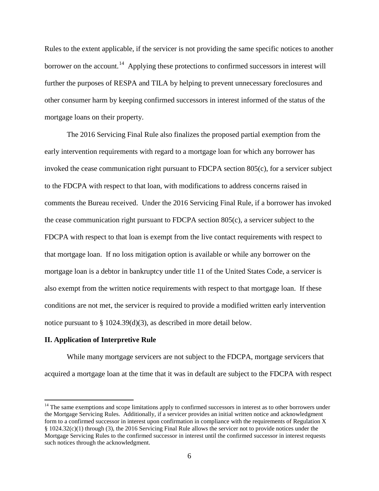Rules to the extent applicable, if the servicer is not providing the same specific notices to another borrower on the account.<sup>14</sup> Applying these protections to confirmed successors in interest will further the purposes of RESPA and TILA by helping to prevent unnecessary foreclosures and other consumer harm by keeping confirmed successors in interest informed of the status of the mortgage loans on their property.

The 2016 Servicing Final Rule also finalizes the proposed partial exemption from the early intervention requirements with regard to a mortgage loan for which any borrower has invoked the cease communication right pursuant to FDCPA section 805(c), for a servicer subject to the FDCPA with respect to that loan, with modifications to address concerns raised in comments the Bureau received. Under the 2016 Servicing Final Rule, if a borrower has invoked the cease communication right pursuant to FDCPA section 805(c), a servicer subject to the FDCPA with respect to that loan is exempt from the live contact requirements with respect to that mortgage loan. If no loss mitigation option is available or while any borrower on the mortgage loan is a debtor in bankruptcy under title 11 of the United States Code, a servicer is also exempt from the written notice requirements with respect to that mortgage loan. If these conditions are not met, the servicer is required to provide a modified written early intervention notice pursuant to § 1024.39(d)(3), as described in more detail below.

## **II. Application of Interpretive Rule**

While many mortgage servicers are not subject to the FDCPA, mortgage servicers that acquired a mortgage loan at the time that it was in default are subject to the FDCPA with respect

<span id="page-5-0"></span> $14$  The same exemptions and scope limitations apply to confirmed successors in interest as to other borrowers under the Mortgage Servicing Rules. Additionally, if a servicer provides an initial written notice and acknowledgment form to a confirmed successor in interest upon confirmation in compliance with the requirements of Regulation X § 1024.32(c)(1) through (3), the 2016 Servicing Final Rule allows the servicer not to provide notices under the Mortgage Servicing Rules to the confirmed successor in interest until the confirmed successor in interest requests such notices through the acknowledgment.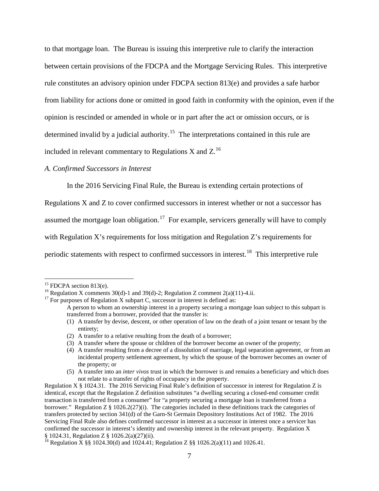to that mortgage loan. The Bureau is issuing this interpretive rule to clarify the interaction between certain provisions of the FDCPA and the Mortgage Servicing Rules. This interpretive rule constitutes an advisory opinion under FDCPA section 813(e) and provides a safe harbor from liability for actions done or omitted in good faith in conformity with the opinion, even if the opinion is rescinded or amended in whole or in part after the act or omission occurs, or is determined invalid by a judicial authority.<sup>[15](#page-6-0)</sup> The interpretations contained in this rule are included in relevant commentary to Regulations X and  $Z^{16}$  $Z^{16}$  $Z^{16}$ .

## *A. Confirmed Successors in Interest*

In the 2016 Servicing Final Rule, the Bureau is extending certain protections of

Regulations X and Z to cover confirmed successors in interest whether or not a successor has

assumed the mortgage loan obligation.<sup>[17](#page-6-2)</sup> For example, servicers generally will have to comply

with Regulation X's requirements for loss mitigation and Regulation Z's requirements for

periodic statements with respect to confirmed successors in interest.<sup>[18](#page-6-3)</sup> This interpretive rule

<span id="page-6-2"></span><span id="page-6-1"></span><span id="page-6-0"></span><sup>&</sup>lt;sup>15</sup> FDCPA section 813(e).<br><sup>16</sup> Regulation X comments 30(d)-1 and 39(d)-2; Regulation Z comment 2(a)(11)-4.ii.<br><sup>17</sup> For purposes of Regulation X subpart C, successor in interest is defined as:

A person to whom an ownership interest in a property securing a mortgage loan subject to this subpart is transferred from a borrower, provided that the transfer is:

<sup>(1)</sup> A transfer by devise, descent, or other operation of law on the death of a joint tenant or tenant by the entirety;

<sup>(2)</sup> A transfer to a relative resulting from the death of a borrower;

<sup>(3)</sup> A transfer where the spouse or children of the borrower become an owner of the property;

<sup>(4)</sup> A transfer resulting from a decree of a dissolution of marriage, legal separation agreement, or from an incidental property settlement agreement, by which the spouse of the borrower becomes an owner of the property; or

<sup>(5)</sup> A transfer into an *inter vivos* trust in which the borrower is and remains a beneficiary and which does not relate to a transfer of rights of occupancy in the property.

Regulation X § 1024.31. The 2016 Servicing Final Rule's definition of successor in interest for Regulation Z is identical, except that the Regulation Z definition substitutes "a dwelling securing a closed-end consumer credit transaction is transferred from a consumer" for "a property securing a mortgage loan is transferred from a borrower." Regulation Z § 1026.2(27)(i). The categories included in these definitions track the categories of transfers protected by section 341(d) of the Garn-St Germain Depository Institutions Act of 1982. The 2016 Servicing Final Rule also defines confirmed successor in interest as a successor in interest once a servicer has confirmed the successor in interest's identity and ownership interest in the relevant property. Regulation X  $\S$  1024.31, Regulation Z  $\S$  1026.2(a)(27)(ii).

<span id="page-6-3"></span><sup>&</sup>lt;sup>18</sup> Regulation X §§ 1024.30(d) and 1024.41; Regulation Z §§ 1026.2(a)(11) and 1026.41.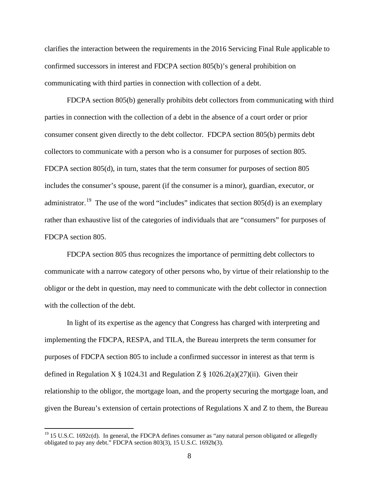clarifies the interaction between the requirements in the 2016 Servicing Final Rule applicable to confirmed successors in interest and FDCPA section 805(b)'s general prohibition on communicating with third parties in connection with collection of a debt.

FDCPA section 805(b) generally prohibits debt collectors from communicating with third parties in connection with the collection of a debt in the absence of a court order or prior consumer consent given directly to the debt collector. FDCPA section 805(b) permits debt collectors to communicate with a person who is a consumer for purposes of section 805. FDCPA section 805(d), in turn, states that the term consumer for purposes of section 805 includes the consumer's spouse, parent (if the consumer is a minor), guardian, executor, or administrator.<sup>[19](#page-7-0)</sup> The use of the word "includes" indicates that section 805(d) is an exemplary rather than exhaustive list of the categories of individuals that are "consumers" for purposes of FDCPA section 805.

FDCPA section 805 thus recognizes the importance of permitting debt collectors to communicate with a narrow category of other persons who, by virtue of their relationship to the obligor or the debt in question, may need to communicate with the debt collector in connection with the collection of the debt.

In light of its expertise as the agency that Congress has charged with interpreting and implementing the FDCPA, RESPA, and TILA, the Bureau interprets the term consumer for purposes of FDCPA section 805 to include a confirmed successor in interest as that term is defined in Regulation X  $\S$  1024.31 and Regulation Z  $\S$  1026.2(a)(27)(ii). Given their relationship to the obligor, the mortgage loan, and the property securing the mortgage loan, and given the Bureau's extension of certain protections of Regulations X and Z to them, the Bureau

<span id="page-7-0"></span> $19$  15 U.S.C. 1692c(d). In general, the FDCPA defines consumer as "any natural person obligated or allegedly obligated to pay any debt." FDCPA section 803(3), 15 U.S.C. 1692b(3).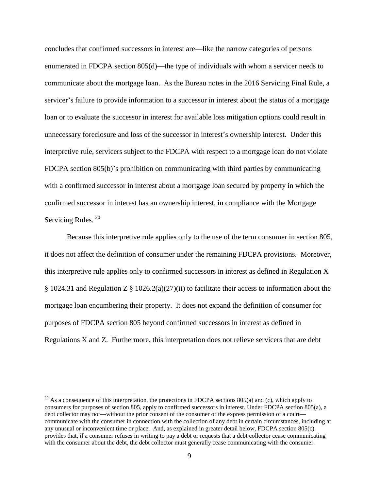concludes that confirmed successors in interest are—like the narrow categories of persons enumerated in FDCPA section 805(d)—the type of individuals with whom a servicer needs to communicate about the mortgage loan. As the Bureau notes in the 2016 Servicing Final Rule, a servicer's failure to provide information to a successor in interest about the status of a mortgage loan or to evaluate the successor in interest for available loss mitigation options could result in unnecessary foreclosure and loss of the successor in interest's ownership interest. Under this interpretive rule, servicers subject to the FDCPA with respect to a mortgage loan do not violate FDCPA section 805(b)'s prohibition on communicating with third parties by communicating with a confirmed successor in interest about a mortgage loan secured by property in which the confirmed successor in interest has an ownership interest, in compliance with the Mortgage Servicing Rules.<sup>[20](#page-8-0)</sup>

Because this interpretive rule applies only to the use of the term consumer in section 805, it does not affect the definition of consumer under the remaining FDCPA provisions. Moreover, this interpretive rule applies only to confirmed successors in interest as defined in Regulation X § 1024.31 and Regulation Z § 1026.2(a)(27)(ii) to facilitate their access to information about the mortgage loan encumbering their property. It does not expand the definition of consumer for purposes of FDCPA section 805 beyond confirmed successors in interest as defined in Regulations X and Z. Furthermore, this interpretation does not relieve servicers that are debt

<span id="page-8-0"></span> $20$  As a consequence of this interpretation, the protections in FDCPA sections 805(a) and (c), which apply to consumers for purposes of section 805, apply to confirmed successors in interest. Under FDCPA section 805(a), a debt collector may not—without the prior consent of the consumer or the express permission of a court communicate with the consumer in connection with the collection of any debt in certain circumstances, including at any unusual or inconvenient time or place. And, as explained in greater detail below, FDCPA section 805(c) provides that, if a consumer refuses in writing to pay a debt or requests that a debt collector cease communicating with the consumer about the debt, the debt collector must generally cease communicating with the consumer.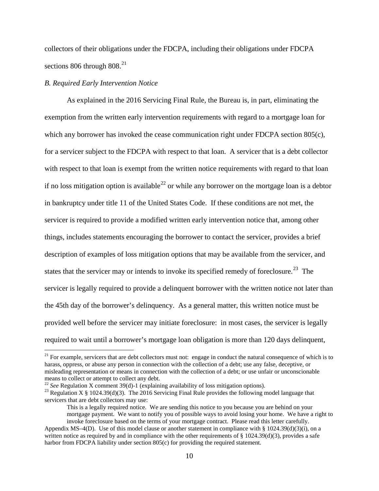collectors of their obligations under the FDCPA, including their obligations under FDCPA sections 806 through  $808.<sup>21</sup>$ 

## *B. Required Early Intervention Notice*

As explained in the 2016 Servicing Final Rule, the Bureau is, in part, eliminating the exemption from the written early intervention requirements with regard to a mortgage loan for which any borrower has invoked the cease communication right under FDCPA section 805(c), for a servicer subject to the FDCPA with respect to that loan. A servicer that is a debt collector with respect to that loan is exempt from the written notice requirements with regard to that loan if no loss mitigation option is available<sup>[22](#page-9-1)</sup> or while any borrower on the mortgage loan is a debtor in bankruptcy under title 11 of the United States Code. If these conditions are not met, the servicer is required to provide a modified written early intervention notice that, among other things, includes statements encouraging the borrower to contact the servicer, provides a brief description of examples of loss mitigation options that may be available from the servicer, and states that the servicer may or intends to invoke its specified remedy of foreclosure.<sup>23</sup> The servicer is legally required to provide a delinquent borrower with the written notice not later than the 45th day of the borrower's delinquency. As a general matter, this written notice must be provided well before the servicer may initiate foreclosure: in most cases, the servicer is legally required to wait until a borrower's mortgage loan obligation is more than 120 days delinquent,

<span id="page-9-0"></span><sup>&</sup>lt;sup>21</sup> For example, servicers that are debt collectors must not: engage in conduct the natural consequence of which is to harass, oppress, or abuse any person in connection with the collection of a debt; use any false, deceptive, or misleading representation or means in connection with the collection of a debt; or use unfair or unconscionable means to collect or attempt to collect any debt.<br>
<sup>22</sup> See Regulation X comment 39(d)-1 (explaining availability of loss mitigation options).

<span id="page-9-2"></span><span id="page-9-1"></span><sup>&</sup>lt;sup>23</sup> Regulation X § 1024.39(d)(3). The 2016 Servicing Final Rule provides the following model language that servicers that are debt collectors may use:

This is a legally required notice. We are sending this notice to you because you are behind on your mortgage payment. We want to notify you of possible ways to avoid losing your home. We have a right to invoke foreclosure based on the terms of your mortgage contract. Please read this letter carefully.

Appendix MS–4(D). Use of this model clause or another statement in compliance with §  $1024.39(d)(3)(i)$ , on a written notice as required by and in compliance with the other requirements of  $\S$  1024.39(d)(3), provides a safe harbor from FDCPA liability under section 805(c) for providing the required statement.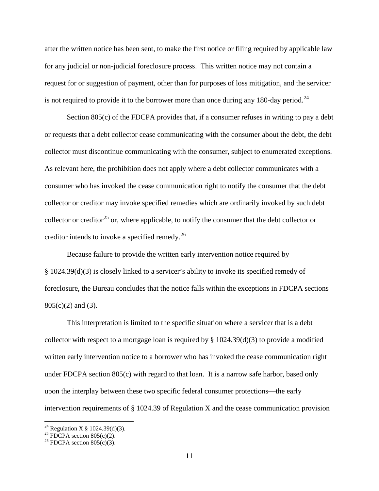after the written notice has been sent, to make the first notice or filing required by applicable law for any judicial or non-judicial foreclosure process. This written notice may not contain a request for or suggestion of payment, other than for purposes of loss mitigation, and the servicer is not required to provide it to the borrower more than once during any 180-day period.<sup>[24](#page-10-0)</sup>

Section 805(c) of the FDCPA provides that, if a consumer refuses in writing to pay a debt or requests that a debt collector cease communicating with the consumer about the debt, the debt collector must discontinue communicating with the consumer, subject to enumerated exceptions. As relevant here, the prohibition does not apply where a debt collector communicates with a consumer who has invoked the cease communication right to notify the consumer that the debt collector or creditor may invoke specified remedies which are ordinarily invoked by such debt collector or creditor<sup>[25](#page-10-1)</sup> or, where applicable, to notify the consumer that the debt collector or creditor intends to invoke a specified remedy.<sup>[26](#page-10-2)</sup>

Because failure to provide the written early intervention notice required by § 1024.39(d)(3) is closely linked to a servicer's ability to invoke its specified remedy of foreclosure, the Bureau concludes that the notice falls within the exceptions in FDCPA sections  $805(c)(2)$  and (3).

This interpretation is limited to the specific situation where a servicer that is a debt collector with respect to a mortgage loan is required by  $\S 1024.39(d)(3)$  to provide a modified written early intervention notice to a borrower who has invoked the cease communication right under FDCPA section 805(c) with regard to that loan. It is a narrow safe harbor, based only upon the interplay between these two specific federal consumer protections—the early intervention requirements of § 1024.39 of Regulation X and the cease communication provision

<span id="page-10-0"></span><sup>&</sup>lt;sup>24</sup> Regulation X § 1024.39(d)(3).<br><sup>25</sup> FDCPA section 805(c)(2).<br><sup>26</sup> FDCPA section 805(c)(3).

<span id="page-10-1"></span>

<span id="page-10-2"></span>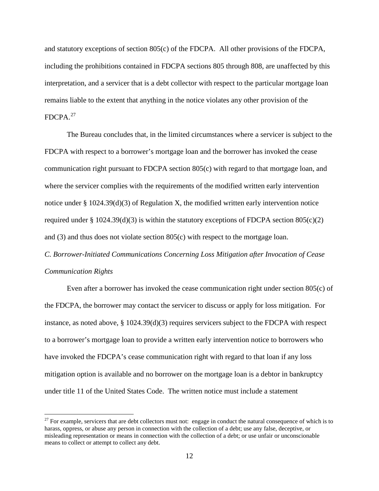and statutory exceptions of section 805(c) of the FDCPA. All other provisions of the FDCPA, including the prohibitions contained in FDCPA sections 805 through 808, are unaffected by this interpretation, and a servicer that is a debt collector with respect to the particular mortgage loan remains liable to the extent that anything in the notice violates any other provision of the FDCPA. [27](#page-11-0)

The Bureau concludes that, in the limited circumstances where a servicer is subject to the FDCPA with respect to a borrower's mortgage loan and the borrower has invoked the cease communication right pursuant to FDCPA section 805(c) with regard to that mortgage loan, and where the servicer complies with the requirements of the modified written early intervention notice under  $\S 1024.39(d)(3)$  of Regulation X, the modified written early intervention notice required under § 1024.39(d)(3) is within the statutory exceptions of FDCPA section  $805(c)(2)$ and (3) and thus does not violate section 805(c) with respect to the mortgage loan.

*C. Borrower-Initiated Communications Concerning Loss Mitigation after Invocation of Cease Communication Rights*

Even after a borrower has invoked the cease communication right under section 805(c) of the FDCPA, the borrower may contact the servicer to discuss or apply for loss mitigation. For instance, as noted above, § 1024.39(d)(3) requires servicers subject to the FDCPA with respect to a borrower's mortgage loan to provide a written early intervention notice to borrowers who have invoked the FDCPA's cease communication right with regard to that loan if any loss mitigation option is available and no borrower on the mortgage loan is a debtor in bankruptcy under title 11 of the United States Code. The written notice must include a statement

<span id="page-11-0"></span> $27$  For example, servicers that are debt collectors must not: engage in conduct the natural consequence of which is to harass, oppress, or abuse any person in connection with the collection of a debt; use any false, deceptive, or misleading representation or means in connection with the collection of a debt; or use unfair or unconscionable means to collect or attempt to collect any debt.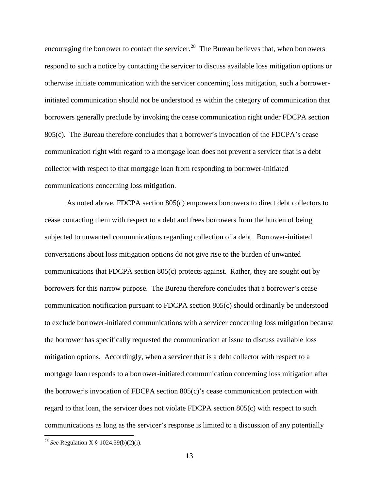encouraging the borrower to contact the servicer.<sup>[28](#page-12-0)</sup> The Bureau believes that, when borrowers respond to such a notice by contacting the servicer to discuss available loss mitigation options or otherwise initiate communication with the servicer concerning loss mitigation, such a borrowerinitiated communication should not be understood as within the category of communication that borrowers generally preclude by invoking the cease communication right under FDCPA section 805(c). The Bureau therefore concludes that a borrower's invocation of the FDCPA's cease communication right with regard to a mortgage loan does not prevent a servicer that is a debt collector with respect to that mortgage loan from responding to borrower-initiated communications concerning loss mitigation.

As noted above, FDCPA section 805(c) empowers borrowers to direct debt collectors to cease contacting them with respect to a debt and frees borrowers from the burden of being subjected to unwanted communications regarding collection of a debt. Borrower-initiated conversations about loss mitigation options do not give rise to the burden of unwanted communications that FDCPA section 805(c) protects against. Rather, they are sought out by borrowers for this narrow purpose. The Bureau therefore concludes that a borrower's cease communication notification pursuant to FDCPA section 805(c) should ordinarily be understood to exclude borrower-initiated communications with a servicer concerning loss mitigation because the borrower has specifically requested the communication at issue to discuss available loss mitigation options. Accordingly, when a servicer that is a debt collector with respect to a mortgage loan responds to a borrower-initiated communication concerning loss mitigation after the borrower's invocation of FDCPA section  $805(c)$ 's cease communication protection with regard to that loan, the servicer does not violate FDCPA section 805(c) with respect to such communications as long as the servicer's response is limited to a discussion of any potentially

<span id="page-12-0"></span> <sup>28</sup> *See* Regulation X § 1024.39(b)(2)(i).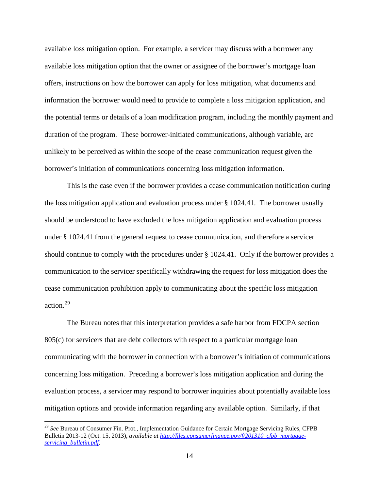available loss mitigation option. For example, a servicer may discuss with a borrower any available loss mitigation option that the owner or assignee of the borrower's mortgage loan offers, instructions on how the borrower can apply for loss mitigation, what documents and information the borrower would need to provide to complete a loss mitigation application, and the potential terms or details of a loan modification program, including the monthly payment and duration of the program. These borrower-initiated communications, although variable, are unlikely to be perceived as within the scope of the cease communication request given the borrower's initiation of communications concerning loss mitigation information.

This is the case even if the borrower provides a cease communication notification during the loss mitigation application and evaluation process under § 1024.41. The borrower usually should be understood to have excluded the loss mitigation application and evaluation process under § 1024.41 from the general request to cease communication, and therefore a servicer should continue to comply with the procedures under § 1024.41. Only if the borrower provides a communication to the servicer specifically withdrawing the request for loss mitigation does the cease communication prohibition apply to communicating about the specific loss mitigation action. [29](#page-13-0)

The Bureau notes that this interpretation provides a safe harbor from FDCPA section 805(c) for servicers that are debt collectors with respect to a particular mortgage loan communicating with the borrower in connection with a borrower's initiation of communications concerning loss mitigation. Preceding a borrower's loss mitigation application and during the evaluation process, a servicer may respond to borrower inquiries about potentially available loss mitigation options and provide information regarding any available option. Similarly, if that

<span id="page-13-0"></span> <sup>29</sup> *See* Bureau of Consumer Fin. Prot., Implementation Guidance for Certain Mortgage Servicing Rules, CFPB Bulletin 2013-12 (Oct. 15, 2013), *available a[t http://files.consumerfinance.gov/f/201310\\_cfpb\\_mortgage](http://files.consumerfinance.gov/f/201310_cfpb_mortgage-servicing_bulletin.pdf)[servicing\\_bulletin.pdf](http://files.consumerfinance.gov/f/201310_cfpb_mortgage-servicing_bulletin.pdf)*.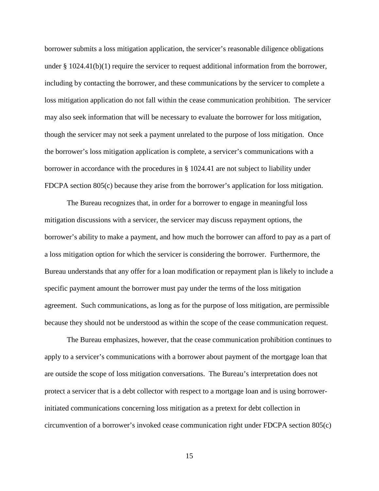borrower submits a loss mitigation application, the servicer's reasonable diligence obligations under § 1024.41(b)(1) require the servicer to request additional information from the borrower, including by contacting the borrower, and these communications by the servicer to complete a loss mitigation application do not fall within the cease communication prohibition. The servicer may also seek information that will be necessary to evaluate the borrower for loss mitigation, though the servicer may not seek a payment unrelated to the purpose of loss mitigation. Once the borrower's loss mitigation application is complete, a servicer's communications with a borrower in accordance with the procedures in § 1024.41 are not subject to liability under FDCPA section 805(c) because they arise from the borrower's application for loss mitigation.

The Bureau recognizes that, in order for a borrower to engage in meaningful loss mitigation discussions with a servicer, the servicer may discuss repayment options, the borrower's ability to make a payment, and how much the borrower can afford to pay as a part of a loss mitigation option for which the servicer is considering the borrower. Furthermore, the Bureau understands that any offer for a loan modification or repayment plan is likely to include a specific payment amount the borrower must pay under the terms of the loss mitigation agreement. Such communications, as long as for the purpose of loss mitigation, are permissible because they should not be understood as within the scope of the cease communication request.

The Bureau emphasizes, however, that the cease communication prohibition continues to apply to a servicer's communications with a borrower about payment of the mortgage loan that are outside the scope of loss mitigation conversations. The Bureau's interpretation does not protect a servicer that is a debt collector with respect to a mortgage loan and is using borrowerinitiated communications concerning loss mitigation as a pretext for debt collection in circumvention of a borrower's invoked cease communication right under FDCPA section 805(c)

15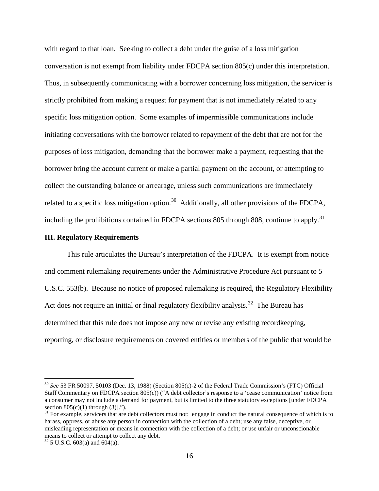with regard to that loan. Seeking to collect a debt under the guise of a loss mitigation conversation is not exempt from liability under FDCPA section 805(c) under this interpretation. Thus, in subsequently communicating with a borrower concerning loss mitigation, the servicer is strictly prohibited from making a request for payment that is not immediately related to any specific loss mitigation option. Some examples of impermissible communications include initiating conversations with the borrower related to repayment of the debt that are not for the purposes of loss mitigation, demanding that the borrower make a payment, requesting that the borrower bring the account current or make a partial payment on the account, or attempting to collect the outstanding balance or arrearage, unless such communications are immediately related to a specific loss mitigation option.<sup>[30](#page-15-0)</sup> Additionally, all other provisions of the FDCPA, including the prohibitions contained in FDCPA sections 805 through 808, continue to apply.<sup>[31](#page-15-1)</sup>

## **III. Regulatory Requirements**

This rule articulates the Bureau's interpretation of the FDCPA. It is exempt from notice and comment rulemaking requirements under the Administrative Procedure Act pursuant to 5 U.S.C. 553(b). Because no notice of proposed rulemaking is required, the Regulatory Flexibility Act does not require an initial or final regulatory flexibility analysis.<sup>32</sup> The Bureau has determined that this rule does not impose any new or revise any existing recordkeeping, reporting, or disclosure requirements on covered entities or members of the public that would be

<span id="page-15-0"></span> <sup>30</sup> *See* 53 FR 50097, 50103 (Dec. 13, 1988) (Section 805(c)-2 of the Federal Trade Commission's (FTC) Official Staff Commentary on FDCPA section 805(c)) ("A debt collector's response to a 'cease communication' notice from a consumer may not include a demand for payment, but is limited to the three statutory exceptions [under FDCPA

<span id="page-15-1"></span>section  $805(c)(1)$  through (3)].").<br><sup>31</sup> For example, servicers that are debt collectors must not: engage in conduct the natural consequence of which is to harass, oppress, or abuse any person in connection with the collection of a debt; use any false, deceptive, or misleading representation or means in connection with the collection of a debt; or use unfair or unconscionable means to collect or attempt to collect any debt.

<span id="page-15-2"></span> $32$  5 U.S.C. 603(a) and 604(a).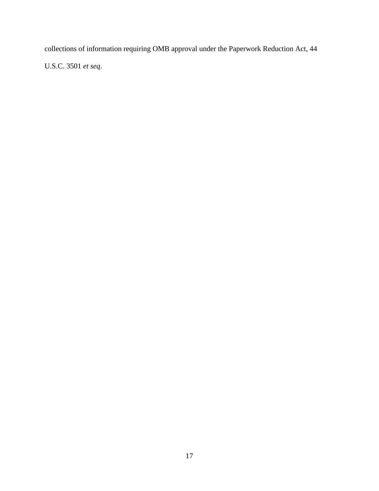collections of information requiring OMB approval under the Paperwork Reduction Act, 44 U.S.C. 3501 *et seq*.